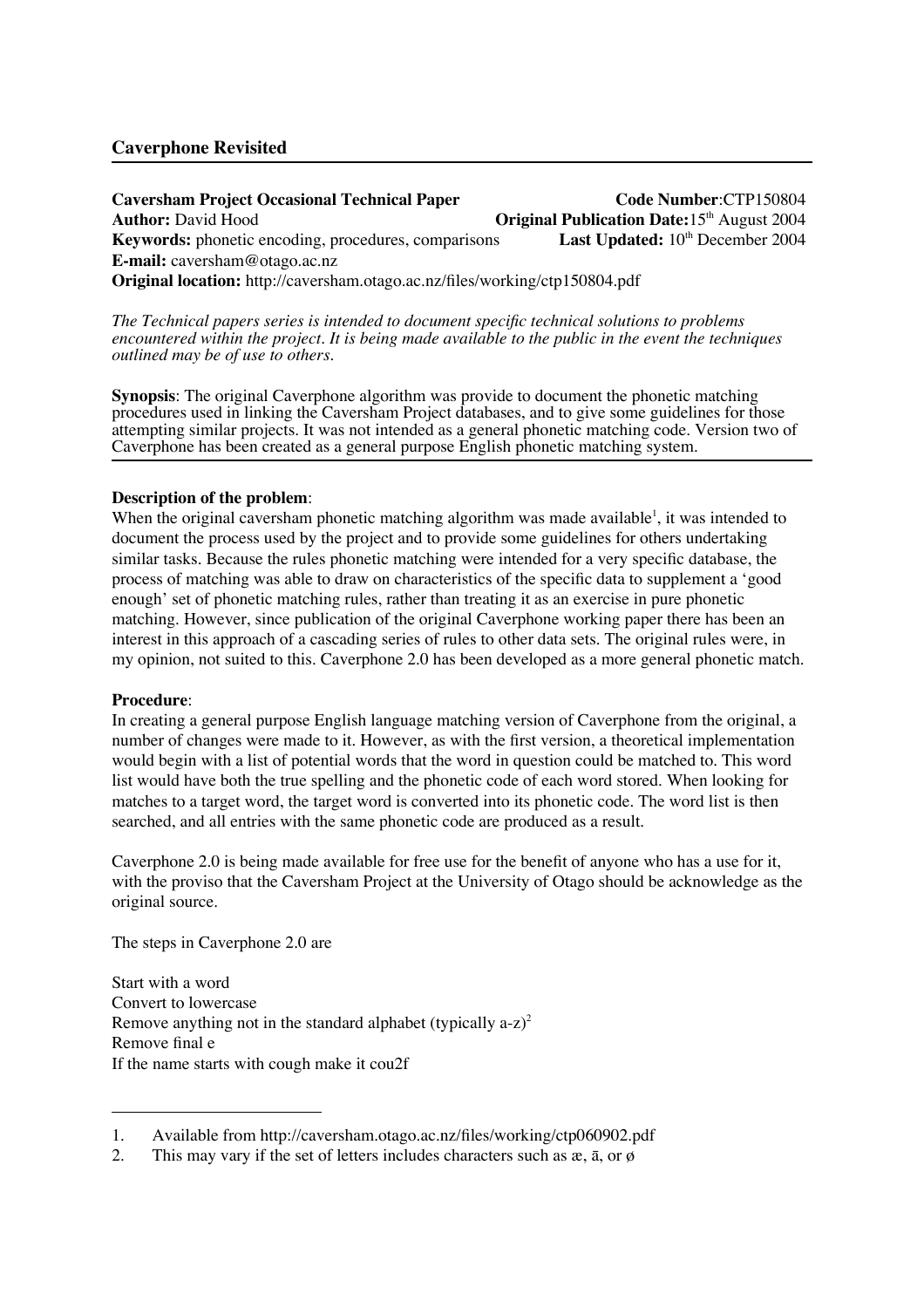# **Caverphone Revisited**

**Caversham Project Occasional Technical Paper Code Number**:CTP150804 **Author:** David Hood **Original Publication Date:**15<sup>th</sup> August 2004 **Keywords:** phonetic encoding, procedures, comparisons **Last Updated:** 10<sup>th</sup> December 2004 **E-mail:** caversham@otago.ac.nz **Original location:** http://caversham.otago.ac.nz/files/working/ctp150804.pdf

*The Technical papers series is intended to document specific technical solutions to problems encountered within the project. It is being made available to the public in the event the techniques outlined may be of use to others.*

**Synopsis**: The original Caverphone algorithm was provide to document the phonetic matching procedures used in linking the Caversham Project databases, and to give some guidelines for those attempting similar projects. It was not intended as a general phonetic matching code. Version two of Caverphone has been created as a general purpose English phonetic matching system.

## **Description of the problem**:

When the original caversham phonetic matching algorithm was made available<sup>1</sup>, it was intended to document the process used by the project and to provide some guidelines for others undertaking similar tasks. Because the rules phonetic matching were intended for a very specific database, the process of matching was able to draw on characteristics of the specific data to supplement a 'good enough' set of phonetic matching rules, rather than treating it as an exercise in pure phonetic matching. However, since publication of the original Caverphone working paper there has been an interest in this approach of a cascading series of rules to other data sets. The original rules were, in my opinion, not suited to this. Caverphone 2.0 has been developed as a more general phonetic match.

#### **Procedure**:

In creating a general purpose English language matching version of Caverphone from the original, a number of changes were made to it. However, as with the first version, a theoretical implementation would begin with a list of potential words that the word in question could be matched to. This word list would have both the true spelling and the phonetic code of each word stored. When looking for matches to a target word, the target word is converted into its phonetic code. The word list is then searched, and all entries with the same phonetic code are produced as a result.

Caverphone 2.0 is being made available for free use for the benefit of anyone who has a use for it, with the proviso that the Caversham Project at the University of Otago should be acknowledge as the original source.

The steps in Caverphone 2.0 are

Start with a word Convert to lowercase Remove anything not in the standard alphabet (typically  $a-z$ )<sup>2</sup> Remove final e If the name starts with cough make it cou2f

<sup>1.</sup> Available from http://caversham.otago.ac.nz/files/working/ctp060902.pdf

<sup>2.</sup> This may vary if the set of letters includes characters such as  $x$ ,  $\bar{a}$ , or  $\phi$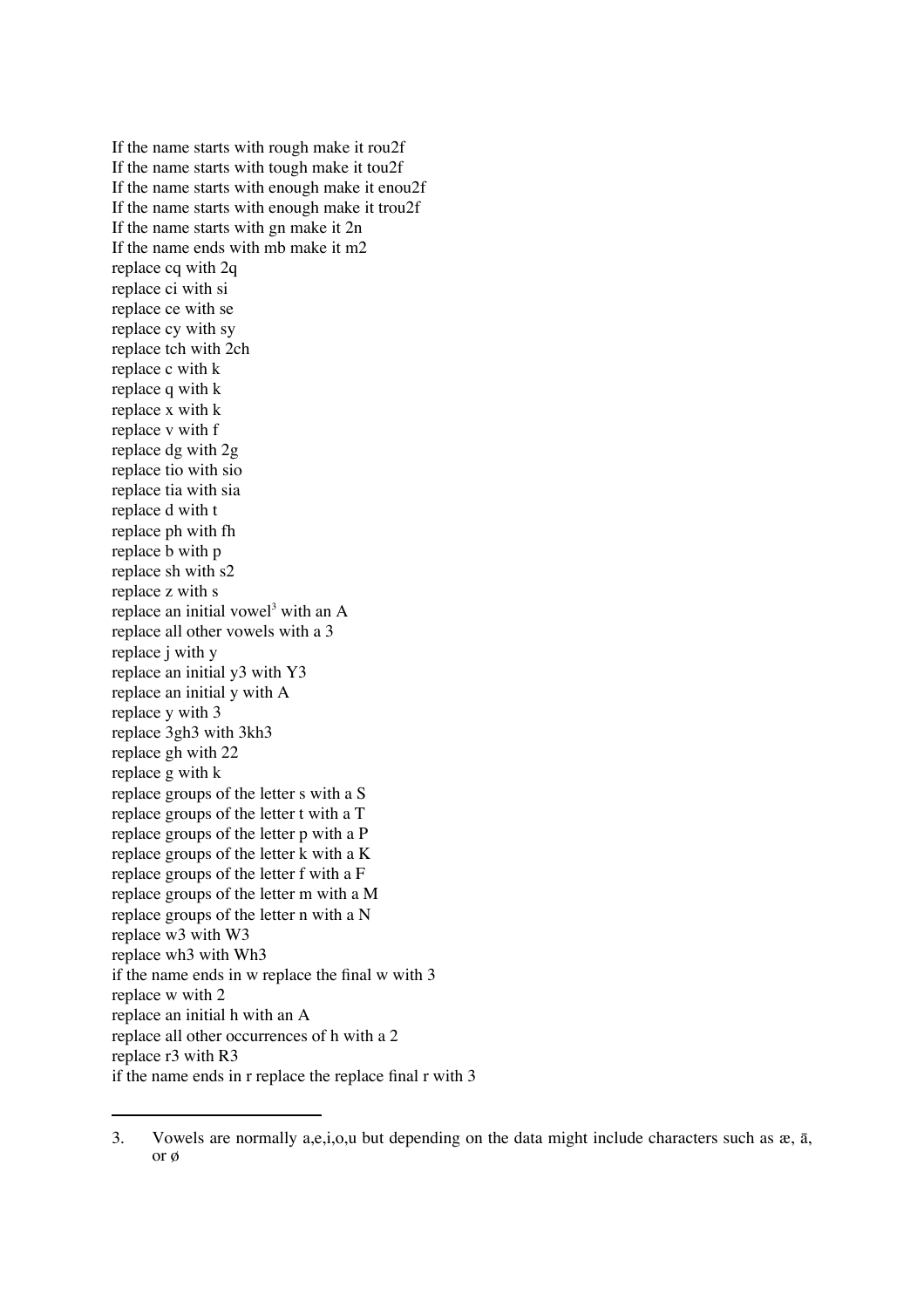If the name starts with rough make it rou2f If the name starts with tough make it tou2f If the name starts with enough make it enou2f If the name starts with enough make it trou2f If the name starts with gn make it 2n If the name ends with mb make it m2 replace cq with 2q replace ci with si replace ce with se replace cy with sy replace tch with 2ch replace c with k replace q with k replace x with k replace v with f replace dg with 2g replace tio with sio replace tia with sia replace d with t replace ph with fh replace b with p replace sh with s2 replace z with s replace an initial vowel<sup>3</sup> with an A replace all other vowels with a 3 replace j with y replace an initial y3 with Y3 replace an initial y with A replace y with 3 replace 3gh3 with 3kh3 replace gh with 22 replace g with k replace groups of the letter s with a S replace groups of the letter t with a T replace groups of the letter p with a P replace groups of the letter k with a K replace groups of the letter f with a F replace groups of the letter m with a M replace groups of the letter n with a N replace w3 with W3 replace wh3 with Wh3 if the name ends in w replace the final w with 3 replace w with 2 replace an initial h with an A replace all other occurrences of h with a 2 replace r3 with R3 if the name ends in r replace the replace final r with 3

<sup>3.</sup> Vowels are normally a,e,i,o,u but depending on the data might include characters such as  $x$ ,  $\bar{a}$ , or  $\emptyset$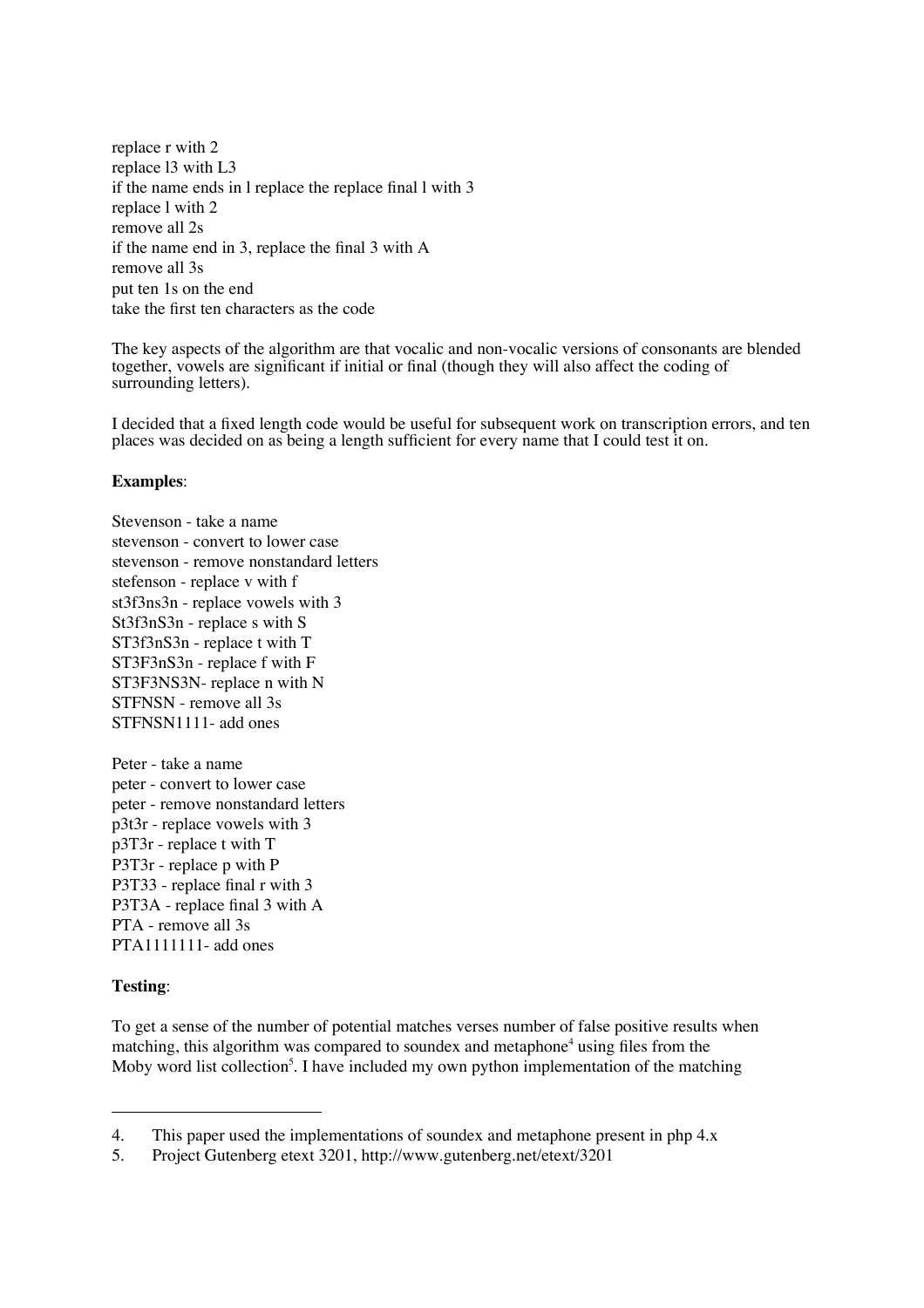replace r with 2 replace l3 with L3 if the name ends in l replace the replace final l with 3 replace l with 2 remove all 2s if the name end in 3, replace the final 3 with A remove all 3s put ten 1s on the end take the first ten characters as the code

The key aspects of the algorithm are that vocalic and non-vocalic versions of consonants are blended together, vowels are significant if initial or final (though they will also affect the coding of surrounding letters).

I decided that a fixed length code would be useful for subsequent work on transcription errors, and ten places was decided on as being a length sufficient for every name that I could test it on.

## **Examples**:

Stevenson - take a name stevenson - convert to lower case stevenson - remove nonstandard letters stefenson - replace v with f st3f3ns3n - replace vowels with 3 St3f3nS3n - replace s with S ST3f3nS3n - replace t with T ST3F3nS3n - replace f with F ST3F3NS3N- replace n with N STFNSN - remove all 3s STFNSN1111- add ones

Peter - take a name peter - convert to lower case peter - remove nonstandard letters p3t3r - replace vowels with 3 p3T3r - replace t with T P3T3r - replace p with P P3T33 - replace final r with 3 P3T3A - replace final 3 with A PTA - remove all 3s  $PTA1111111-$  add ones

# **Testing**:

To get a sense of the number of potential matches verses number of false positive results when matching, this algorithm was compared to soundex and metaphone<sup>4</sup> using files from the Moby word list collection<sup>5</sup>. I have included my own python implementation of the matching

<sup>4.</sup> This paper used the implementations of soundex and metaphone present in php 4.x

<sup>5.</sup> Project Gutenberg etext 3201, http://www.gutenberg.net/etext/3201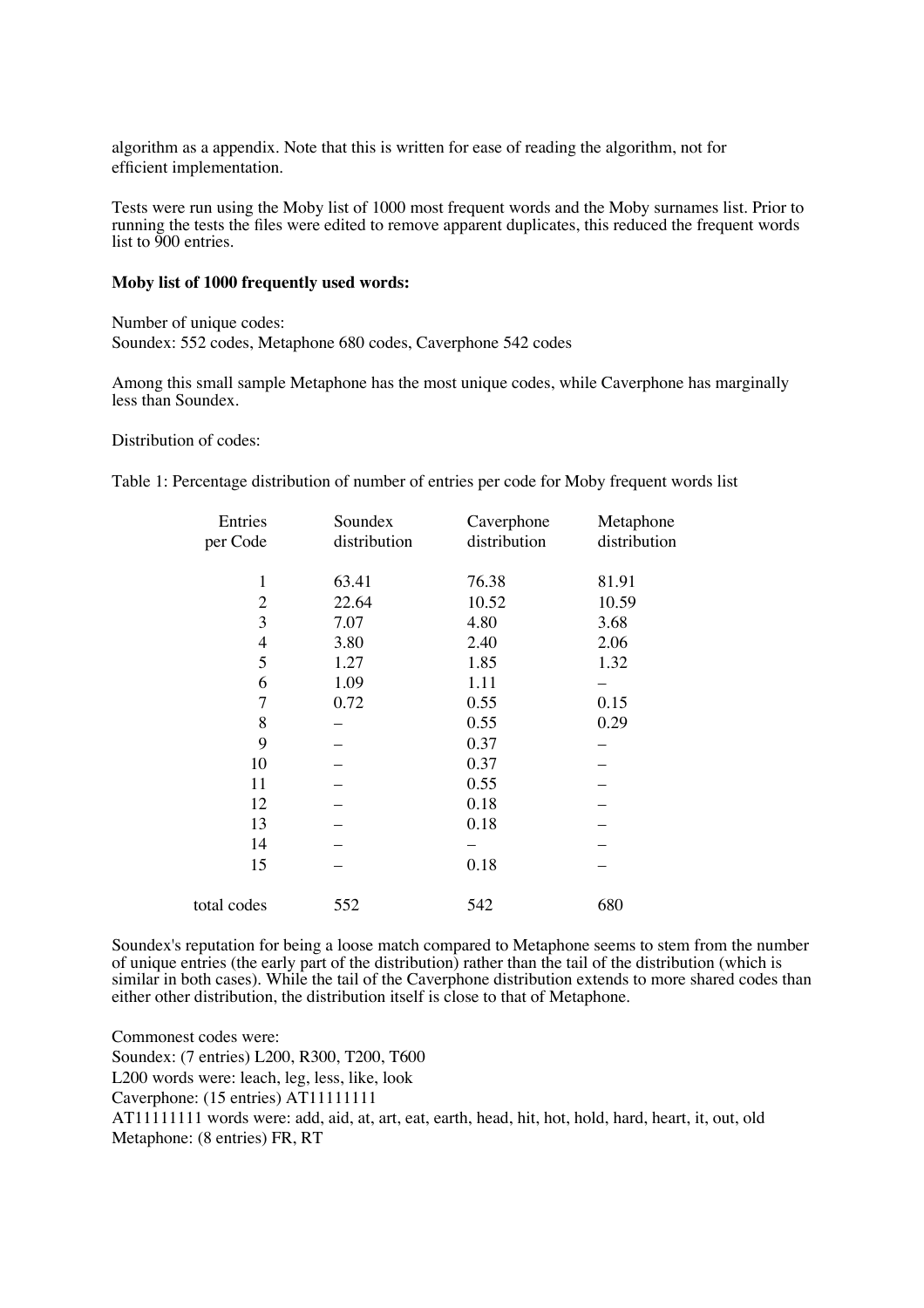algorithm as a appendix. Note that this is written for ease of reading the algorithm, not for efficient implementation.

Tests were run using the Moby list of 1000 most frequent words and the Moby surnames list. Prior to running the tests the files were edited to remove apparent duplicates, this reduced the frequent words list to 900 entries.

### **Moby list of 1000 frequently used words:**

Number of unique codes: Soundex: 552 codes, Metaphone 680 codes, Caverphone 542 codes

Among this small sample Metaphone has the most unique codes, while Caverphone has marginally less than Soundex.

Distribution of codes:

Table 1: Percentage distribution of number of entries per code for Moby frequent words list

| Entries<br>per Code | Soundex<br>distribution | Caverphone<br>distribution | Metaphone<br>distribution |
|---------------------|-------------------------|----------------------------|---------------------------|
| $\mathbf{1}$        | 63.41                   | 76.38                      | 81.91                     |
| $\overline{2}$      | 22.64                   | 10.52                      | 10.59                     |
| 3                   | 7.07                    | 4.80                       | 3.68                      |
| $\overline{4}$      | 3.80                    | 2.40                       | 2.06                      |
| 5                   | 1.27                    | 1.85                       | 1.32                      |
| 6                   | 1.09                    | 1.11                       |                           |
| 7                   | 0.72                    | 0.55                       | 0.15                      |
| 8                   |                         | 0.55                       | 0.29                      |
| 9                   |                         | 0.37                       |                           |
| 10                  |                         | 0.37                       |                           |
| 11                  |                         | 0.55                       |                           |
| 12                  |                         | 0.18                       |                           |
| 13                  |                         | 0.18                       |                           |
| 14                  |                         |                            |                           |
| 15                  |                         | 0.18                       |                           |
| total codes         | 552                     | 542                        | 680                       |

Soundex's reputation for being a loose match compared to Metaphone seems to stem from the number of unique entries (the early part of the distribution) rather than the tail of the distribution (which is similar in both cases). While the tail of the Caverphone distribution extends to more shared codes than either other distribution, the distribution itself is close to that of Metaphone.

Commonest codes were: Soundex: (7 entries) L200, R300, T200, T600 L200 words were: leach, leg, less, like, look Caverphone: (15 entries) AT11111111 AT11111111 words were: add, aid, at, art, eat, earth, head, hit, hot, hold, hard, heart, it, out, old Metaphone: (8 entries) FR, RT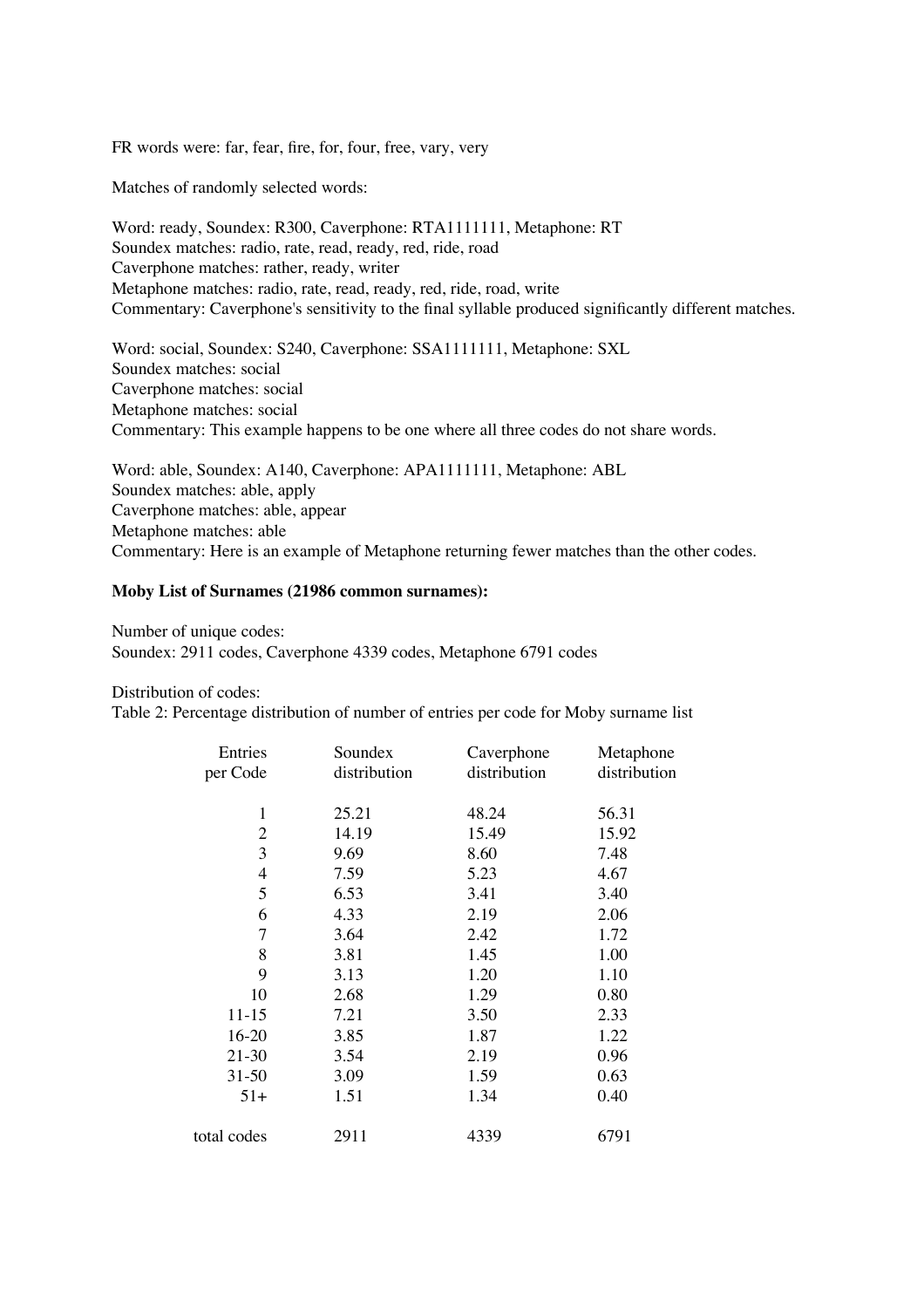FR words were: far, fear, fire, for, four, free, vary, very

Matches of randomly selected words:

Word: ready, Soundex: R300, Caverphone: RTA1111111, Metaphone: RT Soundex matches: radio, rate, read, ready, red, ride, road Caverphone matches: rather, ready, writer Metaphone matches: radio, rate, read, ready, red, ride, road, write Commentary: Caverphone's sensitivity to the final syllable produced significantly different matches.

Word: social, Soundex: S240, Caverphone: SSA1111111, Metaphone: SXL Soundex matches: social Caverphone matches: social Metaphone matches: social Commentary: This example happens to be one where all three codes do not share words.

Word: able, Soundex: A140, Caverphone: APA1111111, Metaphone: ABL Soundex matches: able, apply Caverphone matches: able, appear Metaphone matches: able Commentary: Here is an example of Metaphone returning fewer matches than the other codes.

### **Moby List of Surnames (21986 common surnames):**

Number of unique codes: Soundex: 2911 codes, Caverphone 4339 codes, Metaphone 6791 codes

Distribution of codes:

Table 2: Percentage distribution of number of entries per code for Moby surname list

| Entries<br>Soundex<br>Caverphone<br>distribution<br>distribution<br>per Code | Metaphone<br>distribution |
|------------------------------------------------------------------------------|---------------------------|
| 1<br>25.21<br>48.24                                                          | 56.31                     |
| 2<br>14.19<br>15.49                                                          | 15.92                     |
| 3<br>9.69<br>8.60<br>7.48                                                    |                           |
| 5.23<br>4.67<br>4<br>7.59                                                    |                           |
| 5<br>6.53<br>3.41<br>3.40                                                    |                           |
| 2.06<br>6<br>4.33<br>2.19                                                    |                           |
| 7<br>3.64<br>2.42<br>1.72                                                    |                           |
| 8<br>1.00<br>3.81<br>1.45                                                    |                           |
| 9<br>3.13<br>1.20<br>1.10                                                    |                           |
| 10<br>2.68<br>1.29<br>0.80                                                   |                           |
| $11 - 15$<br>3.50<br>7.21<br>2.33                                            |                           |
| $16 - 20$<br>1.87<br>1.22<br>3.85                                            |                           |
| 2.19<br>$21 - 30$<br>0.96<br>3.54                                            |                           |
| 1.59<br>0.63<br>31-50<br>3.09                                                |                           |
| 1.34<br>0.40<br>$51+$<br>1.51                                                |                           |
| 6791<br>total codes<br>2911<br>4339                                          |                           |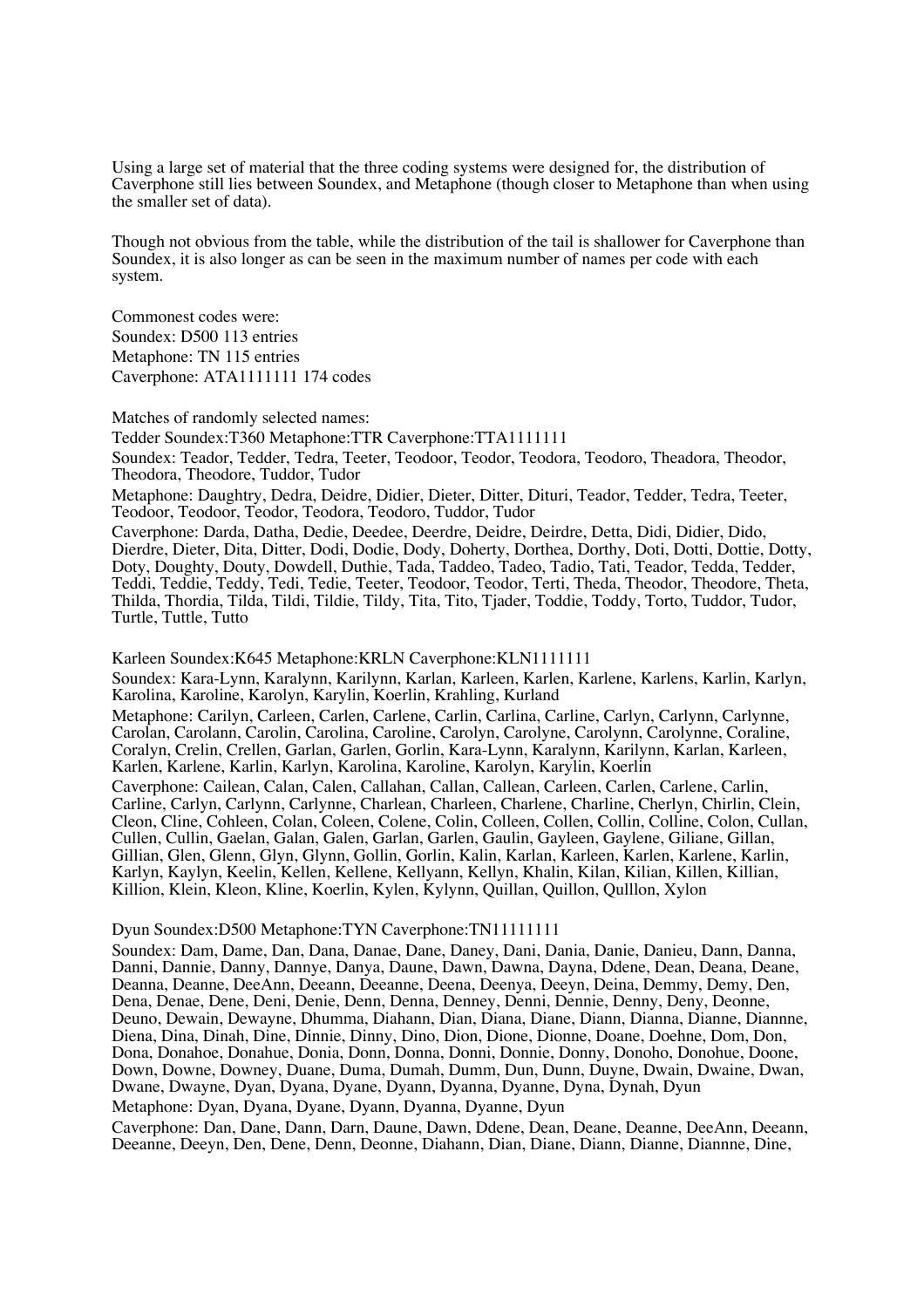Using a large set of material that the three coding systems were designed for, the distribution of Caverphone still lies between Soundex, and Metaphone (though closer to Metaphone than when using the smaller set of data).

Though not obvious from the table, while the distribution of the tail is shallower for Caverphone than Soundex, it is also longer as can be seen in the maximum number of names per code with each system.

Commonest codes were: Soundex: D500 113 entries Metaphone: TN 115 entries Caverphone: ATA1111111 174 codes

Matches of randomly selected names:

Tedder Soundex:T360 Metaphone:TTR Caverphone:TTA1111111

Soundex: Teador, Tedder, Tedra, Teeter, Teodoor, Teodor, Teodora, Teodoro, Theadora, Theodor, Theodora, Theodore, Tuddor, Tudor

Metaphone: Daughtry, Dedra, Deidre, Didier, Dieter, Ditter, Dituri, Teador, Tedder, Tedra, Teeter, Teodoor, Teodoor, Teodor, Teodora, Teodoro, Tuddor, Tudor

Caverphone: Darda, Datha, Dedie, Deedee, Deerdre, Deidre, Deirdre, Detta, Didi, Didier, Dido, Dierdre, Dieter, Dita, Ditter, Dodi, Dodie, Dody, Doherty, Dorthea, Dorthy, Doti, Dotti, Dottie, Dotty, Doty, Doughty, Douty, Dowdell, Duthie, Tada, Taddeo, Tadeo, Tadio, Tati, Teador, Tedda, Tedder, Teddi, Teddie, Teddy, Tedi, Tedie, Teeter, Teodoor, Teodor, Terti, Theda, Theodor, Theodore, Theta, Thilda, Thordia, Tilda, Tildi, Tildie, Tildy, Tita, Tito, Tjader, Toddie, Toddy, Torto, Tuddor, Tudor, Turtle, Tuttle, Tutto

Karleen Soundex:K645 Metaphone:KRLN Caverphone:KLN1111111 Soundex: Kara-Lynn, Karalynn, Karilynn, Karlan, Karleen, Karlen, Karlene, Karlens, Karlin, Karlyn, Karolina, Karoline, Karolyn, Karylin, Koerlin, Krahling, Kurland Metaphone: Carilyn, Carleen, Carlen, Carlene, Carlin, Carlina, Carline, Carlyn, Carlynn, Carlynne, Carolan, Carolann, Carolin, Carolina, Caroline, Carolyn, Carolyne, Carolynn, Carolynne, Coraline, Coralyn, Crelin, Crellen, Garlan, Garlen, Gorlin, Kara-Lynn, Karalynn, Karilynn, Karlan, Karleen, Karlen, Karlene, Karlin, Karlyn, Karolina, Karoline, Karolyn, Karylin, Koerlin Caverphone: Cailean, Calan, Calen, Callahan, Callan, Callean, Carleen, Carlen, Carlene, Carlin, Carline, Carlyn, Carlynn, Carlynne, Charlean, Charleen, Charlene, Charline, Cherlyn, Chirlin, Clein, Cleon, Cline, Cohleen, Colan, Coleen, Colene, Colin, Colleen, Collen, Collin, Colline, Colon, Cullan, Cullen, Cullin, Gaelan, Galan, Galen, Garlan, Garlen, Gaulin, Gayleen, Gaylene, Giliane, Gillan, Gillian, Glen, Glenn, Glyn, Glynn, Gollin, Gorlin, Kalin, Karlan, Karleen, Karlen, Karlene, Karlin, Karlyn, Kaylyn, Keelin, Kellen, Kellene, Kellyann, Kellyn, Khalin, Kilan, Kilian, Killen, Killian, Killion, Klein, Kleon, Kline, Koerlin, Kylen, Kylynn, Quillan, Quillon, Qulllon, Xylon

#### Dyun Soundex:D500 Metaphone:TYN Caverphone:TN11111111

Soundex: Dam, Dame, Dan, Dana, Danae, Dane, Daney, Dani, Dania, Danie, Danieu, Dann, Danna, Danni, Dannie, Danny, Dannye, Danya, Daune, Dawn, Dawna, Dayna, Ddene, Dean, Deana, Deane, Deanna, Deanne, DeeAnn, Deeann, Deeanne, Deena, Deenya, Deeyn, Deina, Demmy, Demy, Den, Dena, Denae, Dene, Deni, Denie, Denn, Denna, Denney, Denni, Dennie, Denny, Deny, Deonne, Deuno, Dewain, Dewayne, Dhumma, Diahann, Dian, Diana, Diane, Diann, Dianna, Dianne, Diannne, Diena, Dina, Dinah, Dine, Dinnie, Dinny, Dino, Dion, Dione, Dionne, Doane, Doehne, Dom, Don, Dona, Donahoe, Donahue, Donia, Donn, Donna, Donni, Donnie, Donny, Donoho, Donohue, Doone, Down, Downe, Downey, Duane, Duma, Dumah, Dumm, Dun, Dunn, Duyne, Dwain, Dwaine, Dwan, Dwane, Dwayne, Dyan, Dyana, Dyane, Dyann, Dyanna, Dyanne, Dyna, Dynah, Dyun Metaphone: Dyan, Dyana, Dyane, Dyann, Dyanna, Dyanne, Dyun

Caverphone: Dan, Dane, Dann, Darn, Daune, Dawn, Ddene, Dean, Deane, Deanne, DeeAnn, Deeann, Deeanne, Deeyn, Den, Dene, Denn, Deonne, Diahann, Dian, Diane, Diann, Dianne, Diannne, Dine,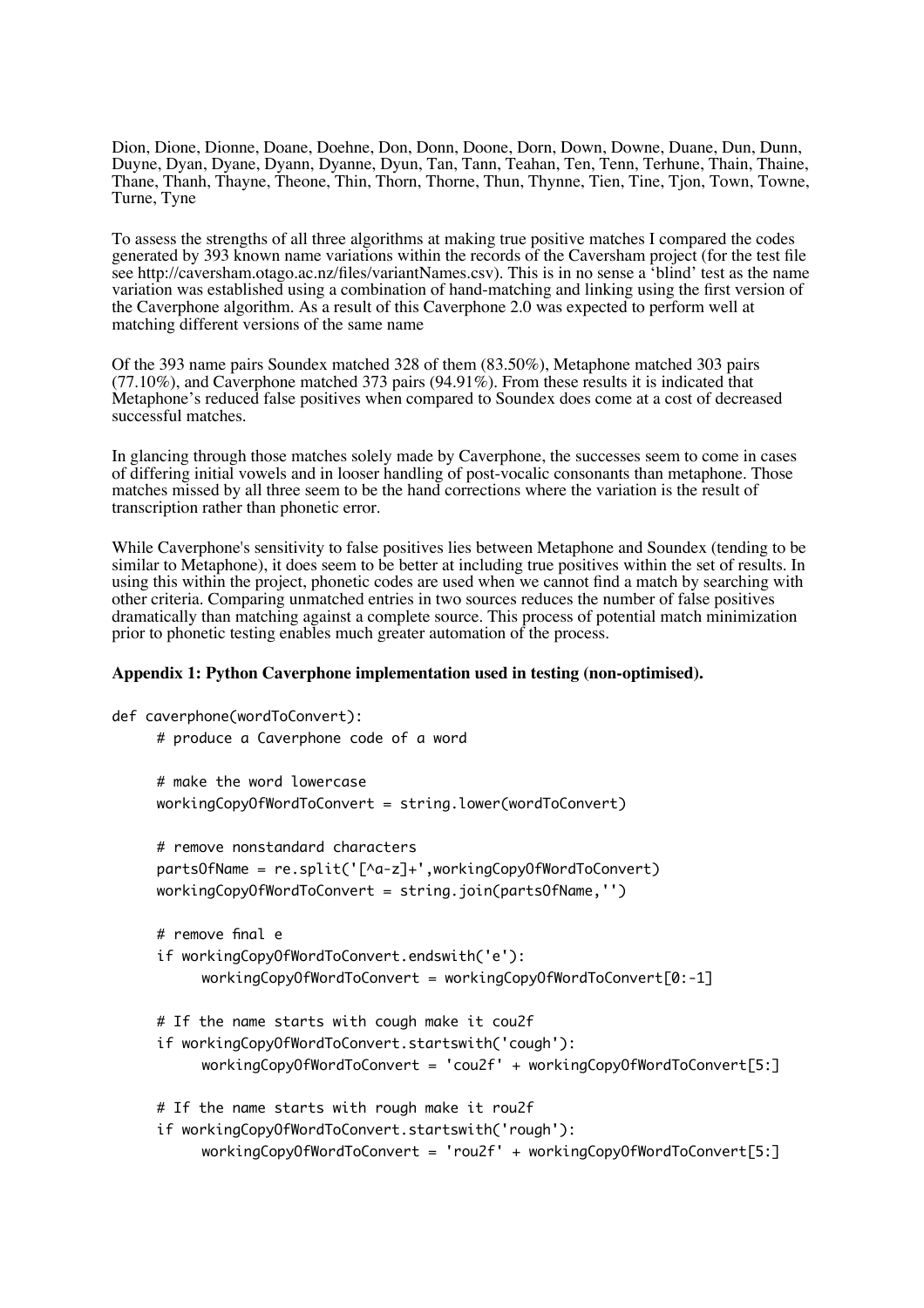Dion, Dione, Dionne, Doane, Doehne, Don, Donn, Doone, Dorn, Down, Downe, Duane, Dun, Dunn, Duyne, Dyan, Dyane, Dyann, Dyanne, Dyun, Tan, Tann, Teahan, Ten, Tenn, Terhune, Thain, Thaine, Thane, Thanh, Thayne, Theone, Thin, Thorn, Thorne, Thun, Thynne, Tien, Tine, Tjon, Town, Towne, Turne, Tyne

To assess the strengths of all three algorithms at making true positive matches I compared the codes generated by 393 known name variations within the records of the Caversham project (for the test file see http://caversham.otago.ac.nz/files/variantNames.csv). This is in no sense a 'blind' test as the name variation was established using a combination of hand-matching and linking using the first version of the Caverphone algorithm. As a result of this Caverphone 2.0 was expected to perform well at matching different versions of the same name

Of the 393 name pairs Soundex matched 328 of them (83.50%), Metaphone matched 303 pairs  $(77.10\%)$ , and Caverphone matched 373 pairs  $(94.91\%)$ . From these results it is indicated that Metaphone's reduced false positives when compared to Soundex does come at a cost of decreased successful matches.

In glancing through those matches solely made by Caverphone, the successes seem to come in cases of differing initial vowels and in looser handling of post-vocalic consonants than metaphone. Those matches missed by all three seem to be the hand corrections where the variation is the result of transcription rather than phonetic error.

While Caverphone's sensitivity to false positives lies between Metaphone and Soundex (tending to be similar to Metaphone), it does seem to be better at including true positives within the set of results. In using this within the project, phonetic codes are used when we cannot find a match by searching with other criteria. Comparing unmatched entries in two sources reduces the number of false positives dramatically than matching against a complete source. This process of potential match minimization prior to phonetic testing enables much greater automation of the process.

### **Appendix 1: Python Caverphone implementation used in testing (non-optimised).**

```
def caverphone(wordToConvert):
     # produce a Caverphone code of a word
     # make the word lowercase
     workingCopyOfWordToConvert = string.lower(wordToConvert)
     # remove nonstandard characters
     partsOfName = re.split('[^a-z]+',workingCopyOfWordToConvert)
     workingCopyOfWordToConvert = string.join(partsOfName,'')
     # remove final e
     if workingCopyOfWordToConvert.endswith('e'):
          workingCopyOfWordToConvert = workingCopyOfWordToConvert[0:-1]
     # If the name starts with cough make it cou2f
     if workingCopyOfWordToConvert.startswith('cough'):
          workingCopyOfWordToConvert = 'cou2f' + workingCopyOfWordToConvert[5:]
     # If the name starts with rough make it rou2f
     if workingCopyOfWordToConvert.startswith('rough'):
          workingCopyOfWordToConvert = 'rou2f' + workingCopyOfWordToConvert[5:]
```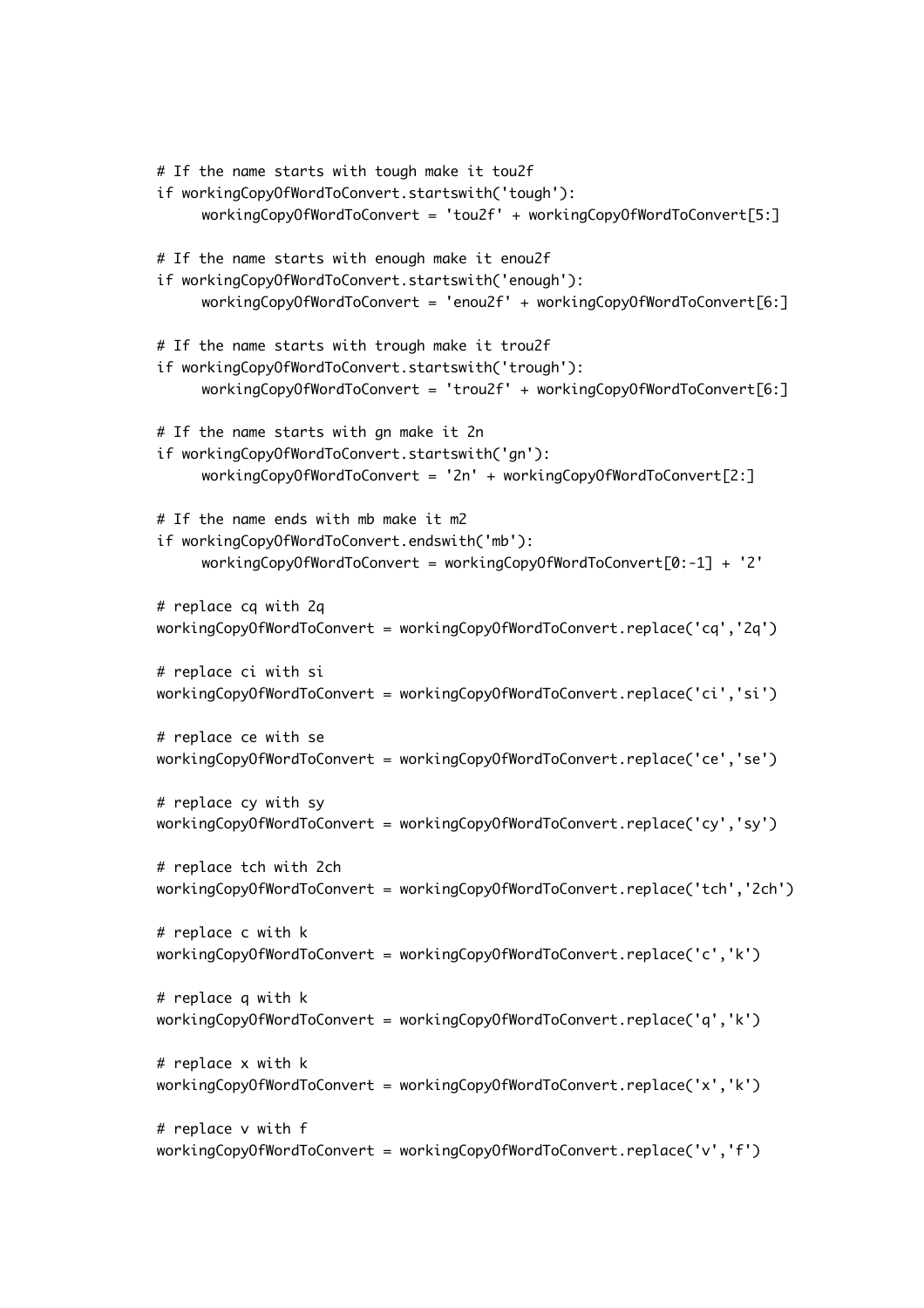```
# If the name starts with tough make it tou2f
if workingCopyOfWordToConvert.startswith('tough'):
     workingCopyOfWordToConvert = 'tou2f' + workingCopyOfWordToConvert[5:]
# If the name starts with enough make it enou2f
if workingCopyOfWordToConvert.startswith('enough'):
     workingCopyOfWordToConvert = 'enou2f' + workingCopyOfWordToConvert[6:]
# If the name starts with trough make it trou2f
if workingCopyOfWordToConvert.startswith('trough'):
     workingCopyOfWordToConvert = 'trou2f' + workingCopyOfWordToConvert[6:]
# If the name starts with gn make it 2n
if workingCopyOfWordToConvert.startswith('gn'):
     workingCopyOfWordToConvert = '2n' + workingCopyOfWordToConvert[2:]
# If the name ends with mb make it m2
if workingCopyOfWordToConvert.endswith('mb'):
     workingCopyOfWordToConvert = workingCopyOfWordToConvert[0:-1] + '2'
# replace cq with 2q
workingCopyOfWordToConvert = workingCopyOfWordToConvert.replace('cq','2q')
# replace ci with si
workingCopyOfWordToConvert = workingCopyOfWordToConvert.replace('ci','si')
# replace ce with se
workingCopyOfWordToConvert = workingCopyOfWordToConvert.replace('ce','se')
# replace cy with sy
workingCopyOfWordToConvert = workingCopyOfWordToConvert.replace('cy','sy')
# replace tch with 2ch
workingCopyOfWordToConvert = workingCopyOfWordToConvert.replace('tch','2ch')
# replace c with k
workingCopyOfWordToConvert = workingCopyOfWordToConvert.replace('c','k')
# replace q with k
workingCopyOfWordToConvert = workingCopyOfWordToConvert.replace('q','k')
# replace x with k
workingCopyOfWordToConvert = workingCopyOfWordToConvert.replace('x','k')
# replace v with f
workingCopyOfWordToConvert = workingCopyOfWordToConvert.replace('v','f')
```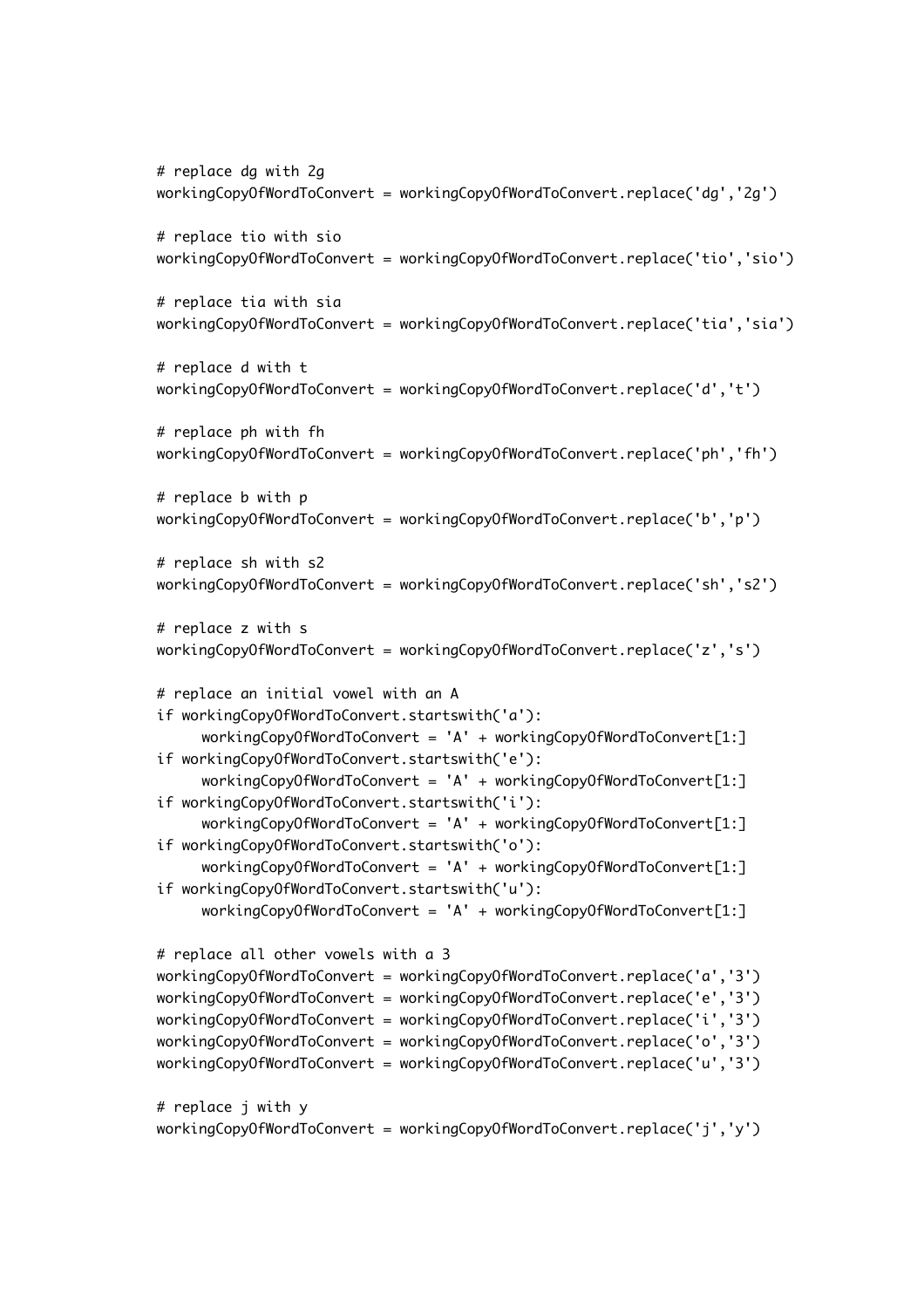```
# replace dg with 2g
workingCopyOfWordToConvert = workingCopyOfWordToConvert.replace('dg','2g')
# replace tio with sio
workingCopyOfWordToConvert = workingCopyOfWordToConvert.replace('tio','sio')
# replace tia with sia
workingCopyOfWordToConvert = workingCopyOfWordToConvert.replace('tia','sia')
# replace d with t
workingCopyOfWordToConvert = workingCopyOfWordToConvert.replace('d','t')
# replace ph with fh
workingCopyOfWordToConvert = workingCopyOfWordToConvert.replace('ph','fh')
# replace b with p
workingCopyOfWordToConvert = workingCopyOfWordToConvert.replace('b','p')
# replace sh with s2
workingCopyOfWordToConvert = workingCopyOfWordToConvert.replace('sh','s2')
# replace z with s
workingCopyOfWordToConvert = workingCopyOfWordToConvert.replace('z','s')
# replace an initial vowel with an A
if workingCopyOfWordToConvert.startswith('a'):
     workingCopyOfWordToConvert = 'A' + workingCopyOfWordToConvert[1:]
if workingCopyOfWordToConvert.startswith('e'):
     workingCopyOfWordToConvert = 'A' + workingCopyOfWordToConvert[1:]
if workingCopyOfWordToConvert.startswith('i'):
     workingCopyOfWordToConvert = 'A' + workingCopyOfWordToConvert[1:]
if workingCopyOfWordToConvert.startswith('o'):
     workingCopyOfWordToConvert = 'A' + workingCopyOfWordToConvert[1:]
if workingCopyOfWordToConvert.startswith('u'):
     workingCopyOfWordToConvert = 'A' + workingCopyOfWordToConvert[1:]
# replace all other vowels with a 3
workingCopyOfWordToConvert = workingCopyOfWordToConvert.replace('a','3')
workingCopyOfWordToConvert = workingCopyOfWordToConvert.replace('e','3')
workingCopyOfWordToConvert = workingCopyOfWordToConvert.replace('i','3')
workingCopyOfWordToConvert = workingCopyOfWordToConvert.replace('o','3')
workingCopyOfWordToConvert = workingCopyOfWordToConvert.replace('u','3')
# replace j with y
workingCopyOfWordToConvert = workingCopyOfWordToConvert.replace('j','y')
```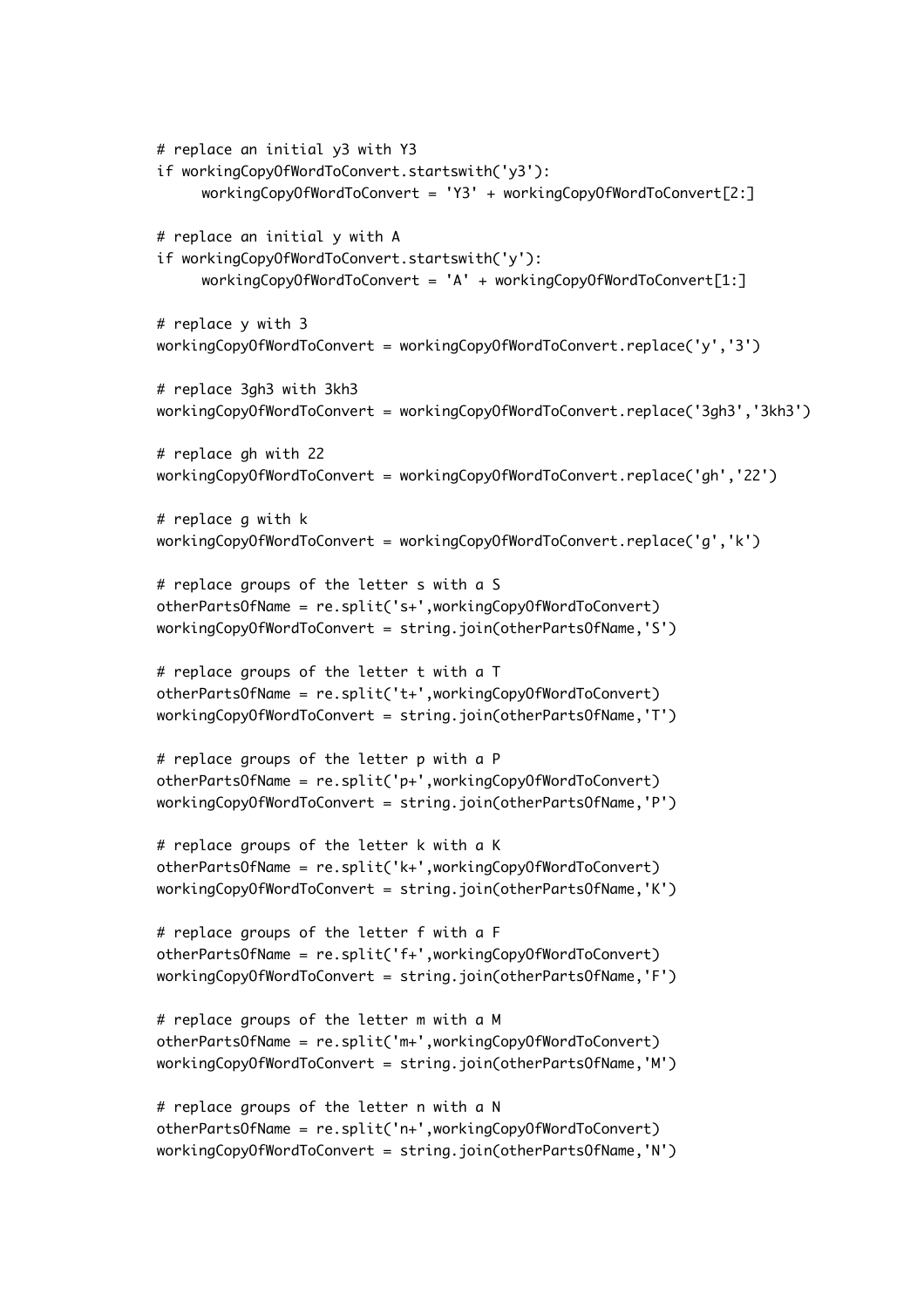```
# replace an initial y3 with Y3
if workingCopyOfWordToConvert.startswith('y3'):
     workingCopyOfWordToConvert = 'Y3' + workingCopyOfWordToConvert[2:]
# replace an initial y with A
if workingCopyOfWordToConvert.startswith('y'):
     workingCopyOfWordToConvert = 'A' + workingCopyOfWordToConvert[1:]
# replace y with 3
workingCopyOfWordToConvert = workingCopyOfWordToConvert.replace('y','3')
# replace 3gh3 with 3kh3
workingCopyOfWordToConvert = workingCopyOfWordToConvert.replace('3gh3','3kh3')
# replace gh with 22
workingCopyOfWordToConvert = workingCopyOfWordToConvert.replace('gh','22')
# replace g with k
workingCopyOfWordToConvert = workingCopyOfWordToConvert.replace('g','k')
# replace groups of the letter s with a S
otherPartsOfName = re.split('s+',workingCopyOfWordToConvert)
workingCopyOfWordToConvert = string.join(otherPartsOfName,'S')
# replace groups of the letter t with a T
otherPartsOfName = re.split('t+',workingCopyOfWordToConvert)
workingCopyOfWordToConvert = string.join(otherPartsOfName,'T')
# replace groups of the letter p with a P
otherPartsOfName = re.split('p+',workingCopyOfWordToConvert)
workingCopyOfWordToConvert = string.join(otherPartsOfName,'P')
# replace groups of the letter k with a K
otherPartsOfName = re.split('k+',workingCopyOfWordToConvert)
workingCopyOfWordToConvert = string.join(otherPartsOfName,'K')
# replace groups of the letter f with a F
otherPartsOfName = re.split('f+',workingCopyOfWordToConvert)
workingCopyOfWordToConvert = string.join(otherPartsOfName,'F')
# replace groups of the letter m with a M
otherPartsOfName = re.split('m+',workingCopyOfWordToConvert)
workingCopyOfWordToConvert = string.join(otherPartsOfName,'M')
# replace groups of the letter n with a N
otherPartsOfName = re.split('n+',workingCopyOfWordToConvert)
workingCopyOfWordToConvert = string.join(otherPartsOfName,'N')
```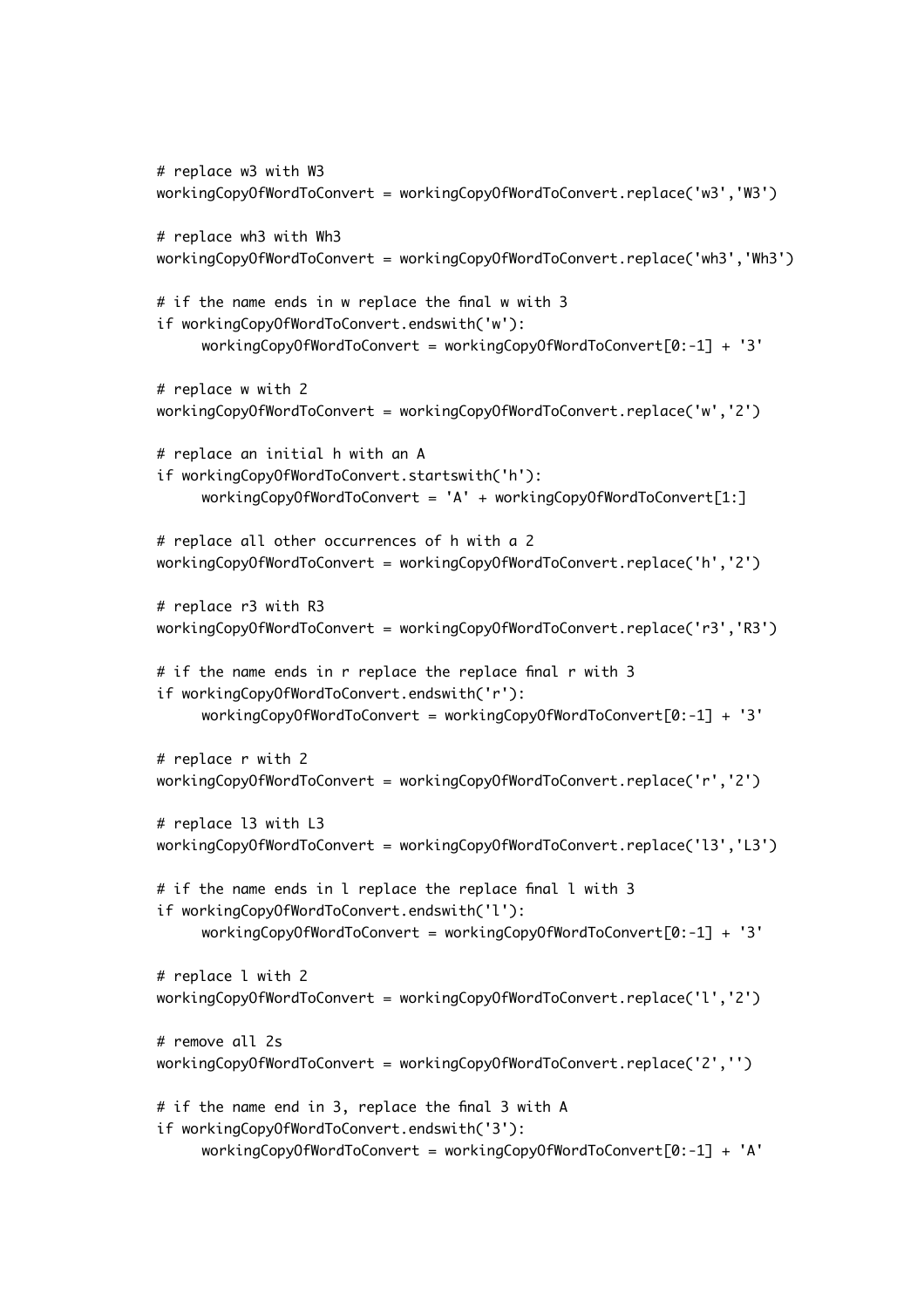```
# replace w3 with W3
workingCopyOfWordToConvert = workingCopyOfWordToConvert.replace('w3','W3')
# replace wh3 with Wh3
workingCopyOfWordToConvert = workingCopyOfWordToConvert.replace('wh3','Wh3')
# if the name ends in w replace the final w with 3
if workingCopyOfWordToConvert.endswith('w'):
     workingCopyOfWordToConvert = workingCopyOfWordToConvert[0:-1] + '3'
# replace w with 2
workingCopyOfWordToConvert = workingCopyOfWordToConvert.replace('w','2')
# replace an initial h with an A
if workingCopyOfWordToConvert.startswith('h'):
     workingCopyOfWordToConvert = 'A' + workingCopyOfWordToConvert[1:]
# replace all other occurrences of h with a 2
workingCopyOfWordToConvert = workingCopyOfWordToConvert.replace('h','2')
# replace r3 with R3
workingCopyOfWordToConvert = workingCopyOfWordToConvert.replace('r3','R3')
# if the name ends in r replace the replace final r with 3
if workingCopyOfWordToConvert.endswith('r'):
     workingCopyOfWordToConvert = workingCopyOfWordToConvert[0:-1] + '3'
# replace r with 2
workingCopyOfWordToConvert = workingCopyOfWordToConvert.replace('r','2')
# replace l3 with L3
workingCopyOfWordToConvert = workingCopyOfWordToConvert.replace('l3','L3')
# if the name ends in l replace the replace final l with 3
if workingCopyOfWordToConvert.endswith('l'):
     workingCopyOfWordToConvert = workingCopyOfWordToConvert[0:-1] + '3'
# replace l with 2
workingCopyOfWordToConvert = workingCopyOfWordToConvert.replace('l','2')
# remove all 2s
workingCopyOfWordToConvert = workingCopyOfWordToConvert.replace('2','')
# if the name end in 3, replace the final 3 with A
if workingCopyOfWordToConvert.endswith('3'):
     workingCopyOfWordToConvert = workingCopyOfWordToConvert[0:-1] + 'A'
```